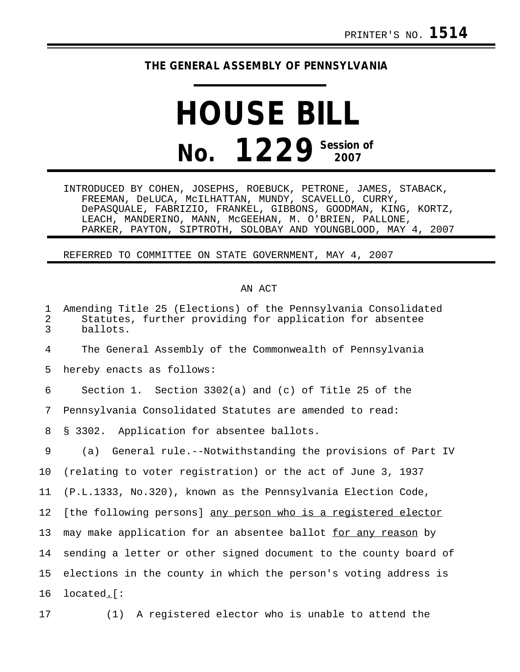## **THE GENERAL ASSEMBLY OF PENNSYLVANIA**

## **HOUSE BILL No. 1229** Session of

INTRODUCED BY COHEN, JOSEPHS, ROEBUCK, PETRONE, JAMES, STABACK, FREEMAN, DeLUCA, McILHATTAN, MUNDY, SCAVELLO, CURRY, DePASQUALE, FABRIZIO, FRANKEL, GIBBONS, GOODMAN, KING, KORTZ, LEACH, MANDERINO, MANN, McGEEHAN, M. O'BRIEN, PALLONE, PARKER, PAYTON, SIPTROTH, SOLOBAY AND YOUNGBLOOD, MAY 4, 2007

REFERRED TO COMMITTEE ON STATE GOVERNMENT, MAY 4, 2007

## AN ACT

| $\mathbf 1$<br>$\overline{2}$<br>3 | Amending Title 25 (Elections) of the Pennsylvania Consolidated<br>Statutes, further providing for application for absentee<br>ballots. |
|------------------------------------|----------------------------------------------------------------------------------------------------------------------------------------|
| 4                                  | The General Assembly of the Commonwealth of Pennsylvania                                                                               |
| 5                                  | hereby enacts as follows:                                                                                                              |
| 6                                  | Section 1. Section $3302(a)$ and (c) of Title 25 of the                                                                                |
| 7                                  | Pennsylvania Consolidated Statutes are amended to read:                                                                                |
| 8                                  | Application for absentee ballots.<br>S 3302.                                                                                           |
| 9                                  | General rule.--Notwithstanding the provisions of Part IV<br>(a)                                                                        |
| 10                                 | (relating to voter registration) or the act of June 3, 1937                                                                            |
| 11                                 | (P.L.1333, No.320), known as the Pennsylvania Election Code,                                                                           |
| 12                                 | [the following persons] any person who is a registered elector                                                                         |
| 13                                 | may make application for an absentee ballot for any reason by                                                                          |
| 14                                 | sending a letter or other signed document to the county board of                                                                       |
| 15                                 | elections in the county in which the person's voting address is                                                                        |
| 16                                 | located. [:                                                                                                                            |
|                                    |                                                                                                                                        |

17 (1) A registered elector who is unable to attend the